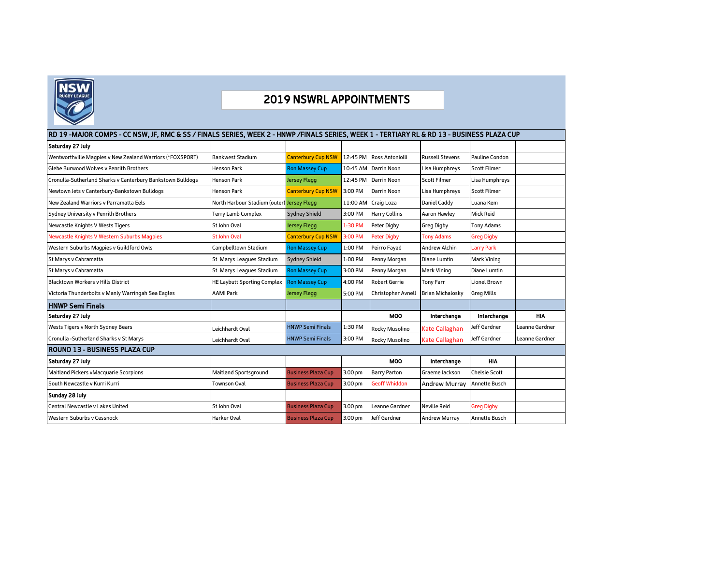

## 2019 NSWRL APPOINTMENTS

## RD 19 -MAJOR COMPS - CC NSW, JF, RMC & SS / FINALS SERIES, WEEK 2 - HNWP /FINALS SERIES, WEEK 1 - TERTIARY RL & RD 13 - BUSINESS PLAZA CUP

| Saturday 27 July                                           |                                            |                           |          |                           |                         |                      |                |
|------------------------------------------------------------|--------------------------------------------|---------------------------|----------|---------------------------|-------------------------|----------------------|----------------|
| Wentworthville Magpies v New Zealand Warriors (*FOXSPORT)  | <b>Bankwest Stadium</b>                    | <b>Canterbury Cup NSW</b> | 12:45 PM | <b>Ross Antoniolli</b>    | <b>Russell Stevens</b>  | Pauline Condon       |                |
| Glebe Burwood Wolves v Penrith Brothers                    | <b>Henson Park</b>                         | <b>Ron Massey Cup</b>     |          | 10:45 AM Darrin Noon      | Lisa Humphreys          | <b>Scott Filmer</b>  |                |
| Cronulla-Sutherland Sharks v Canterbury Bankstown Bulldogs | <b>Henson Park</b>                         | <b>Jersey Flegg</b>       | 12:45 PM | <b>Darrin Noon</b>        | <b>Scott Filmer</b>     | Lisa Humphreys       |                |
| Newtown Jets v Canterbury-Bankstown Bulldogs               | <b>Henson Park</b>                         | <b>Canterbury Cup NSW</b> | 3:00 PM  | Darrin Noon               | Lisa Humphreys          | <b>Scott Filmer</b>  |                |
| New Zealand Warriors y Parramatta Eels                     | North Harbour Stadium (outer) Jersey Flegg |                           | 11:00 AM | Craig Loza                | Daniel Caddy            | Luana Kem            |                |
| Sydney University v Penrith Brothers                       | Terry Lamb Complex                         | <b>Sydney Shield</b>      | 3:00 PM  | <b>Harry Collins</b>      | Aaron Hawlev            | <b>Mick Reid</b>     |                |
| Newcastle Knights V Wests Tigers                           | St John Oval                               | Jersey Flegg              | 1:30 PM  | Peter Digby               | Greg Digby              | <b>Tony Adams</b>    |                |
| Newcastle Knights V Western Suburbs Magpies                | <b>St John Oval</b>                        | <b>Canterbury Cup NSW</b> | 3:00 PM  | <b>Peter Digby</b>        | <b>Tony Adams</b>       | <b>Greg Digby</b>    |                |
| Western Suburbs Magpies v Guildford Owls                   | Campbelltown Stadium                       | <b>Ron Massey Cup</b>     | 1:00 PM  | Peirro Fayad              | <b>Andrew Alchin</b>    | <b>Larry Park</b>    |                |
| St Marys v Cabramatta                                      | St Marys Leagues Stadium                   | <b>Sydney Shield</b>      | 1:00 PM  | Penny Morgan              | Diane Lumtin            | <b>Mark Vining</b>   |                |
| St Marys v Cabramatta                                      | St Marys Leagues Stadium                   | <b>Ron Massey Cup</b>     | 3:00 PM  | Penny Morgan              | <b>Mark Vining</b>      | Diane Lumtin         |                |
| <b>Blacktown Workers v Hills District</b>                  | <b>HE Laybutt Sporting Complex</b>         | <b>Ron Massey Cup</b>     | 4:00 PM  | <b>Robert Gerrie</b>      | <b>Tony Farr</b>        | <b>Lionel Brown</b>  |                |
| Victoria Thunderbolts v Manly Warringah Sea Eagles         | <b>AAMI Park</b>                           | <b>Jersey Flegg</b>       | 5:00 PM  | <b>Christopher Avnell</b> | <b>Brian Michalosky</b> | <b>Greg Mills</b>    |                |
| HNWP Semi Finals                                           |                                            |                           |          |                           |                         |                      |                |
| Saturday 27 July                                           |                                            |                           |          | <b>MOO</b>                | Interchange             | Interchange          | <b>HIA</b>     |
| Wests Tigers v North Sydney Bears                          | Leichhardt Oval                            | <b>HNWP Semi Finals</b>   | 1:30 PM  | Rocky Musolino            | <b>Kate Callaghan</b>   | Jeff Gardner         | Leanne Gardner |
| Cronulla -Sutherland Sharks v St Marys                     | Leichhardt Oval                            | <b>HNWP Semi Finals</b>   | 3:00 PM  | Rocky Musolino            | <b>Kate Callaghan</b>   | Jeff Gardner         | Leanne Gardner |
| ROUND 13 - BUSINESS PLAZA CUP                              |                                            |                           |          |                           |                         |                      |                |
| Saturday 27 July                                           |                                            |                           |          | <b>MOO</b>                | Interchange             | <b>HIA</b>           |                |
| Maitland Pickers vMacquarie Scorpions                      | <b>Maitland Sportsground</b>               | <b>Business Plaza Cup</b> | 3.00 pm  | <b>Barry Parton</b>       | Graeme Jackson          | <b>Chelsie Scott</b> |                |
| South Newcastle v Kurri Kurri                              | Townson Oval                               | <b>Business Plaza Cup</b> | 3.00 pm  | <b>Geoff Whiddon</b>      | <b>Andrew Murrav</b>    | <b>Annette Busch</b> |                |
| Sunday 28 July                                             |                                            |                           |          |                           |                         |                      |                |
| Central Newcastle v Lakes United                           | St John Oval                               | <b>Business Plaza Cup</b> | 3.00 pm  | Leanne Gardner            | <b>Neville Reid</b>     | <b>Greg Digby</b>    |                |
| <b>Western Suburbs v Cessnock</b>                          | <b>Harker Oval</b>                         | <b>Business Plaza Cup</b> | 3.00 pm  | Jeff Gardner              | <b>Andrew Murray</b>    | <b>Annette Busch</b> |                |
|                                                            |                                            |                           |          |                           |                         |                      |                |